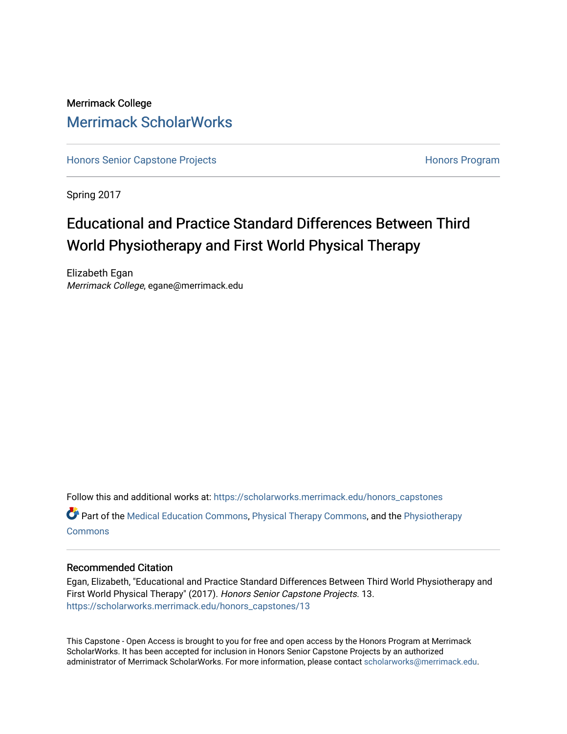## Merrimack College [Merrimack ScholarWorks](https://scholarworks.merrimack.edu/)

[Honors Senior Capstone Projects](https://scholarworks.merrimack.edu/honors_capstones) **Honors Program** Honors Program

Spring 2017

## Educational and Practice Standard Differences Between Third World Physiotherapy and First World Physical Therapy

Elizabeth Egan Merrimack College, egane@merrimack.edu

Follow this and additional works at: [https://scholarworks.merrimack.edu/honors\\_capstones](https://scholarworks.merrimack.edu/honors_capstones?utm_source=scholarworks.merrimack.edu%2Fhonors_capstones%2F13&utm_medium=PDF&utm_campaign=PDFCoverPages)  $\bullet$  Part of the [Medical Education Commons,](http://network.bepress.com/hgg/discipline/1125?utm_source=scholarworks.merrimack.edu%2Fhonors_capstones%2F13&utm_medium=PDF&utm_campaign=PDFCoverPages) [Physical Therapy Commons](http://network.bepress.com/hgg/discipline/754?utm_source=scholarworks.merrimack.edu%2Fhonors_capstones%2F13&utm_medium=PDF&utm_campaign=PDFCoverPages), and the [Physiotherapy](http://network.bepress.com/hgg/discipline/1086?utm_source=scholarworks.merrimack.edu%2Fhonors_capstones%2F13&utm_medium=PDF&utm_campaign=PDFCoverPages) **[Commons](http://network.bepress.com/hgg/discipline/1086?utm_source=scholarworks.merrimack.edu%2Fhonors_capstones%2F13&utm_medium=PDF&utm_campaign=PDFCoverPages)** 

## Recommended Citation

Egan, Elizabeth, "Educational and Practice Standard Differences Between Third World Physiotherapy and First World Physical Therapy" (2017). Honors Senior Capstone Projects. 13. [https://scholarworks.merrimack.edu/honors\\_capstones/13](https://scholarworks.merrimack.edu/honors_capstones/13?utm_source=scholarworks.merrimack.edu%2Fhonors_capstones%2F13&utm_medium=PDF&utm_campaign=PDFCoverPages) 

This Capstone - Open Access is brought to you for free and open access by the Honors Program at Merrimack ScholarWorks. It has been accepted for inclusion in Honors Senior Capstone Projects by an authorized administrator of Merrimack ScholarWorks. For more information, please contact [scholarworks@merrimack.edu](mailto:scholarworks@merrimack.edu).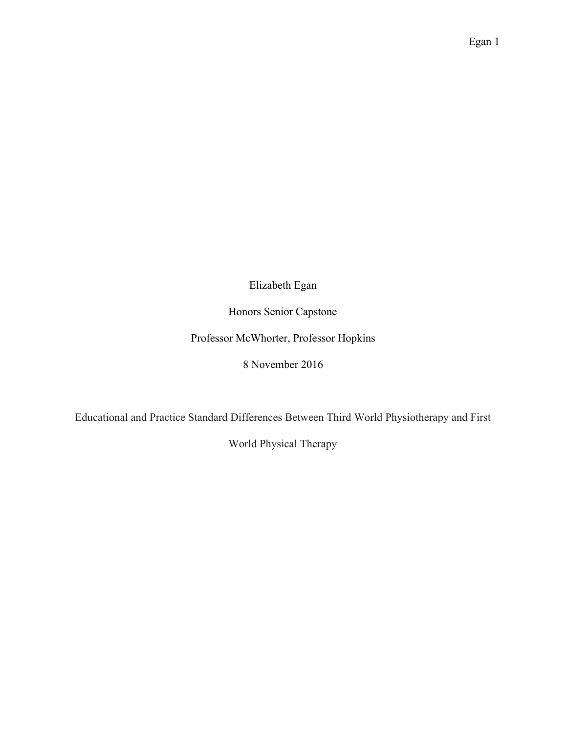Elizabeth Egan

Honors Senior Capstone

Professor McWhorter, Professor Hopkins

8 November 2016

Educational and Practice Standard Differences Between Third World Physiotherapy and First

World Physical Therapy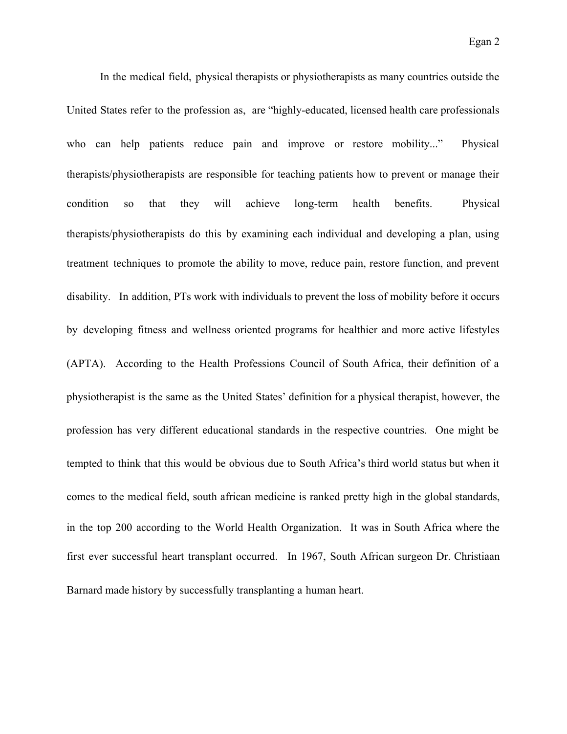In the medical field, physical therapists or physiotherapists as many countries outside the United States refer to the profession as, are "highly-educated, licensed health care professionals who can help patients reduce pain and improve or restore mobility..." Physical therapists/physiotherapists are responsible for teaching patients how to prevent or manage their condition so that they will achieve long-term health benefits. Physical therapists/physiotherapists do this by examining each individual and developing a plan, using treatment techniques to promote the ability to move, reduce pain, restore function, and prevent disability. In addition, PTs work with individuals to prevent the loss of mobility before it occurs by developing fitness and wellness oriented programs for healthier and more active lifestyles (APTA). According to the Health Professions Council of South Africa, their definition of a physiotherapist is the same as the United States' definition for a physical therapist, however, the profession has very different educational standards in the respective countries. One might be tempted to think that this would be obvious due to South Africa's third world status but when it comes to the medical field, south african medicine is ranked pretty high in the global standards, in the top 200 according to the World Health Organization. It was in South Africa where the first ever successful heart transplant occurred. In 1967, South African surgeon Dr. Christiaan Barnard made history by successfully transplanting a human heart.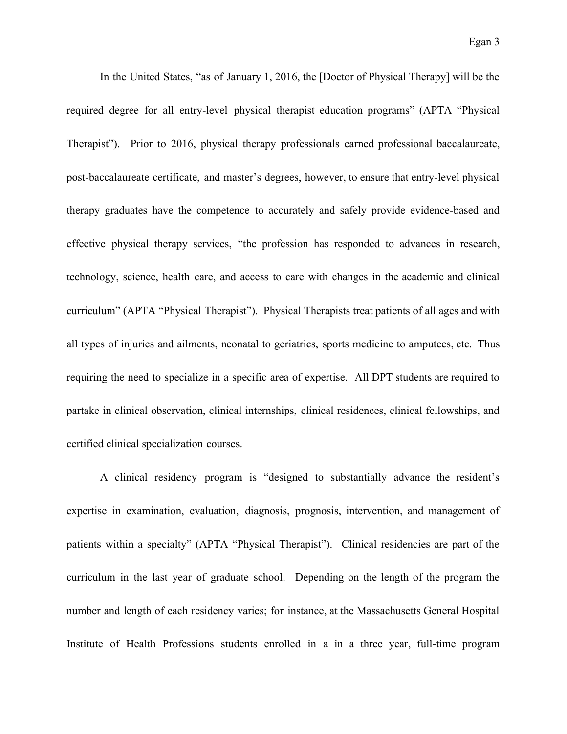In the United States, "as of January 1, 2016, the [Doctor of Physical Therapy] will be the required degree for all entry-level physical therapist education programs" (APTA "Physical Therapist"). Prior to 2016, physical therapy professionals earned professional baccalaureate, post-baccalaureate certificate, and master's degrees, however, to ensure that entry-level physical therapy graduates have the competence to accurately and safely provide evidence-based and effective physical therapy services, "the profession has responded to advances in research, technology, science, health care, and access to care with changes in the academic and clinical curriculum" (APTA "Physical Therapist"). Physical Therapists treat patients of all ages and with all types of injuries and ailments, neonatal to geriatrics, sports medicine to amputees, etc. Thus requiring the need to specialize in a specific area of expertise. All DPT students are required to partake in clinical observation, clinical internships, clinical residences, clinical fellowships, and certified clinical specialization courses.

A clinical residency program is "designed to substantially advance the resident's expertise in examination, evaluation, diagnosis, prognosis, intervention, and management of patients within a specialty" (APTA "Physical Therapist"). Clinical residencies are part of the curriculum in the last year of graduate school. Depending on the length of the program the number and length of each residency varies; for instance, at the Massachusetts General Hospital Institute of Health Professions students enrolled in a in a three year, full-time program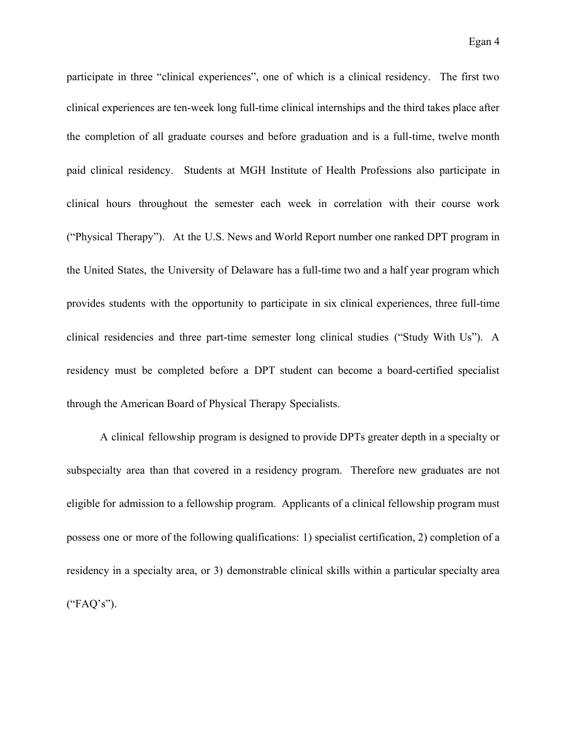participate in three "clinical experiences", one of which is a clinical residency. The first two clinical experiences are ten-week long full-time clinical internships and the third takes place after the completion of all graduate courses and before graduation and is a full-time, twelve month paid clinical residency. Students at MGH Institute of Health Professions also participate in clinical hours throughout the semester each week in correlation with their course work ("Physical Therapy"). At the U.S. News and World Report number one ranked DPT program in the United States, the University of Delaware has a full-time two and a half year program which provides students with the opportunity to participate in six clinical experiences, three full-time clinical residencies and three part-time semester long clinical studies ("Study With Us"). A residency must be completed before a DPT student can become a board-certified specialist through the American Board of Physical Therapy Specialists.

A clinical fellowship program is designed to provide DPTs greater depth in a specialty or subspecialty area than that covered in a residency program. Therefore new graduates are not eligible for admission to a fellowship program. Applicants of a clinical fellowship program must possess one or more of the following qualifications: 1) specialist certification, 2) completion of a residency in a specialty area, or 3) demonstrable clinical skills within a particular specialty area ("FAQ's").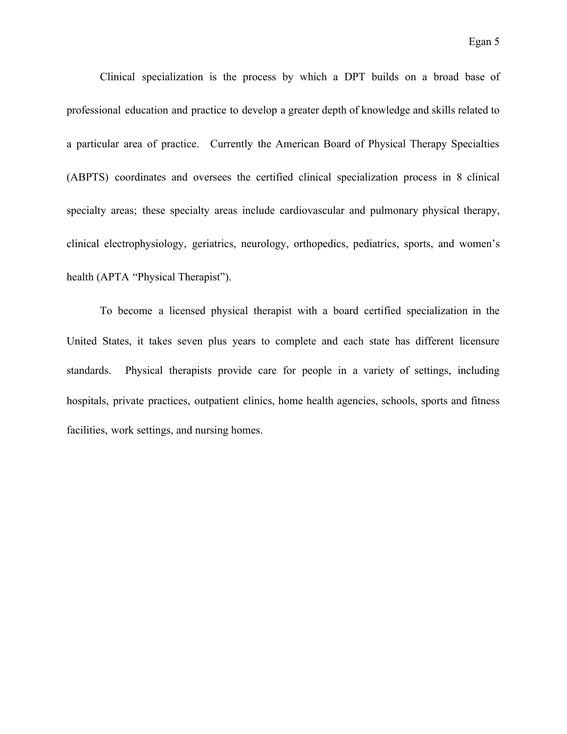Clinical specialization is the process by which a DPT builds on a broad base of professional education and practice to develop a greater depth of knowledge and skills related to a particular area of practice. Currently the American Board of Physical Therapy Specialties (ABPTS) coordinates and oversees the certified clinical specialization process in 8 clinical specialty areas; these specialty areas include cardiovascular and pulmonary physical therapy, clinical electrophysiology, geriatrics, neurology, orthopedics, pediatrics, sports, and women's health (APTA "Physical Therapist").

To become a licensed physical therapist with a board certified specialization in the United States, it takes seven plus years to complete and each state has different licensure standards. Physical therapists provide care for people in a variety of settings, including hospitals, private practices, outpatient clinics, home health agencies, schools, sports and fitness facilities, work settings, and nursing homes.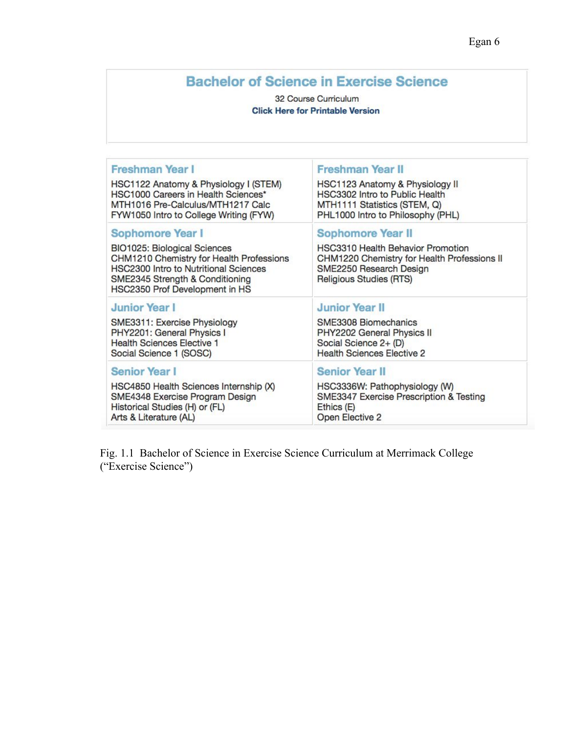## **Bachelor of Science in Exercise Science**

## 32 Course Curriculum **Click Here for Printable Version**

| Freshman Year I                                                                                                                                                                                                   | <b>Freshman Year II</b>                                                                                                                                                                                                                                                                                                |  |
|-------------------------------------------------------------------------------------------------------------------------------------------------------------------------------------------------------------------|------------------------------------------------------------------------------------------------------------------------------------------------------------------------------------------------------------------------------------------------------------------------------------------------------------------------|--|
| HSC1122 Anatomy & Physiology I (STEM)                                                                                                                                                                             | HSC1123 Anatomy & Physiology II                                                                                                                                                                                                                                                                                        |  |
| HSC1000 Careers in Health Sciences*                                                                                                                                                                               | HSC3302 Intro to Public Health                                                                                                                                                                                                                                                                                         |  |
| MTH1016 Pre-Calculus/MTH1217 Calc                                                                                                                                                                                 | MTH1111 Statistics (STEM, Q)                                                                                                                                                                                                                                                                                           |  |
| FYW1050 Intro to College Writing (FYW)                                                                                                                                                                            | PHL1000 Intro to Philosophy (PHL)                                                                                                                                                                                                                                                                                      |  |
| Sophomore Year I<br>BIO1025: Biological Sciences<br>CHM1210 Chemistry for Health Professions<br><b>HSC2300 Intro to Nutritional Sciences</b><br>SME2345 Strength & Conditioning<br>HSC2350 Prof Development in HS | <b>Sophomore Year II</b><br><b>HSC3310 Health Behavior Promotion</b><br>CHM1220 Chemistry for Health Professions II<br>SME2250 Research Design<br>Religious Studies (RTS)<br><b>Junior Year II</b><br>SME3308 Biomechanics<br>PHY2202 General Physics II<br>Social Science 2+ (D)<br><b>Health Sciences Elective 2</b> |  |
| <b>Junior Year I</b><br>SME3311: Exercise Physiology<br>PHY2201: General Physics I<br><b>Health Sciences Elective 1</b><br>Social Science 1 (SOSC)                                                                |                                                                                                                                                                                                                                                                                                                        |  |
| <b>Senior Year I</b>                                                                                                                                                                                              | <b>Senior Year II</b>                                                                                                                                                                                                                                                                                                  |  |
| HSC4850 Health Sciences Internship (X)                                                                                                                                                                            | HSC3336W: Pathophysiology (W)                                                                                                                                                                                                                                                                                          |  |
| SME4348 Exercise Program Design                                                                                                                                                                                   | SME3347 Exercise Prescription & Testing                                                                                                                                                                                                                                                                                |  |
| Historical Studies (H) or (FL)                                                                                                                                                                                    | Ethics (E)                                                                                                                                                                                                                                                                                                             |  |
| Arts & Literature (AL)                                                                                                                                                                                            | Open Elective 2                                                                                                                                                                                                                                                                                                        |  |

Fig. 1.1 Bachelor of Science in Exercise Science Curriculum at Merrimack College ("Exercise Science")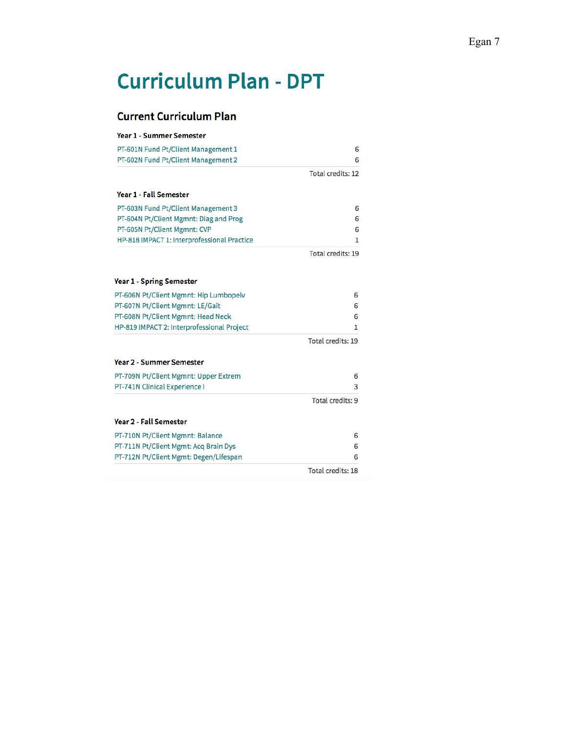# **Curriculum Plan - DPT**

## **Current Curriculum Plan**

| <b>Year 1 - Summer Semester</b>             |                   |
|---------------------------------------------|-------------------|
| PT-601N Fund Pt/Client Management 1         | 6                 |
| PT-602N Fund Pt/Client Management 2         | 6                 |
|                                             | Total credits: 12 |
| <b>Year 1 - Fall Semester</b>               |                   |
| PT-603N Fund Pt/Client Management 3         | 6                 |
| PT-604N Pt/Client Mgmnt: Diag and Prog      | 6                 |
| PT-605N Pt/Client Mgmnt: CVP                | 6                 |
| HP-818 IMPACT 1: Interprofessional Practice | 1                 |
|                                             | Total credits: 19 |
| <b>Year 1 - Spring Semester</b>             |                   |
| PT-606N Pt/Client Mgmnt: Hip Lumbopelv      | 6                 |
| PT-607N Pt/Client Mgmnt: LE/Gait            | 6                 |
| PT-608N Pt/Client Mgmnt: Head Neck          | 6                 |
| HP-819 IMPACT 2: Interprofessional Project  | 1                 |
|                                             | Total credits: 19 |
| <b>Year 2 - Summer Semester</b>             |                   |
| PT-709N Pt/Client Mgmnt: Upper Extrem       | 6                 |
| PT-741N Clinical Experience I               | 3                 |
|                                             | Total credits: 9  |
| Year 2 - Fall Semester                      |                   |
| PT-710N Pt/Client Mgmnt: Balance            | 6                 |
| PT-711N Pt/Client Mgmt: Acq Brain Dys       | 6                 |
| PT-712N Pt/Client Mgmt: Degen/Lifespan      | 6                 |
|                                             | Total credits: 18 |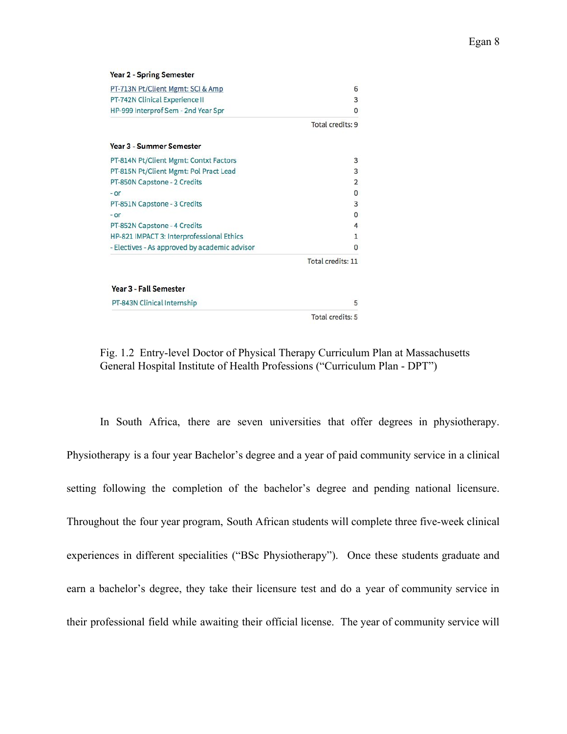| <b>Year 2 - Spring Semester</b>               |                   |
|-----------------------------------------------|-------------------|
| PT-713N Pt/Client Mgmt: SCI & Amp             | 6                 |
| PT-742N Clinical Experience II                | 3                 |
| HP-999 Interprof Sem - 2nd Year Spr           | $\Omega$          |
|                                               | Total credits: 9  |
| <b>Year 3 - Summer Semester</b>               |                   |
| PT-814N Pt/Client Mgmt: Contxt Factors        | 3                 |
| PT-815N Pt/Client Mgmt: Pol Pract Lead        | 3                 |
| PT-850N Capstone - 2 Credits                  | $\overline{2}$    |
| - or                                          | 0                 |
| PT-851N Capstone - 3 Credits                  | 3                 |
| - or                                          | $\mathbf{0}$      |
| PT-852N Capstone - 4 Credits                  | 4                 |
| HP-821 IMPACT 3: Interprofessional Ethics     | 1                 |
| - Electives - As approved by academic advisor | $\mathbf{0}$      |
|                                               | Total credits: 11 |
| Year 3 - Fall Semester                        |                   |
| PT-843N Clinical Internship                   | 5                 |
|                                               | Total credits: 5  |

Fig. 1.2 Entry-level Doctor of Physical Therapy Curriculum Plan at Massachusetts General Hospital Institute of Health Professions ("Curriculum Plan - DPT")

In South Africa, there are seven universities that offer degrees in physiotherapy. Physiotherapy is a four year Bachelor's degree and a year of paid community service in a clinical setting following the completion of the bachelor's degree and pending national licensure. Throughout the four year program, South African students will complete three five-week clinical experiences in different specialities ("BSc Physiotherapy"). Once these students graduate and earn a bachelor's degree, they take their licensure test and do a year of community service in their professional field while awaiting their official license. The year of community service will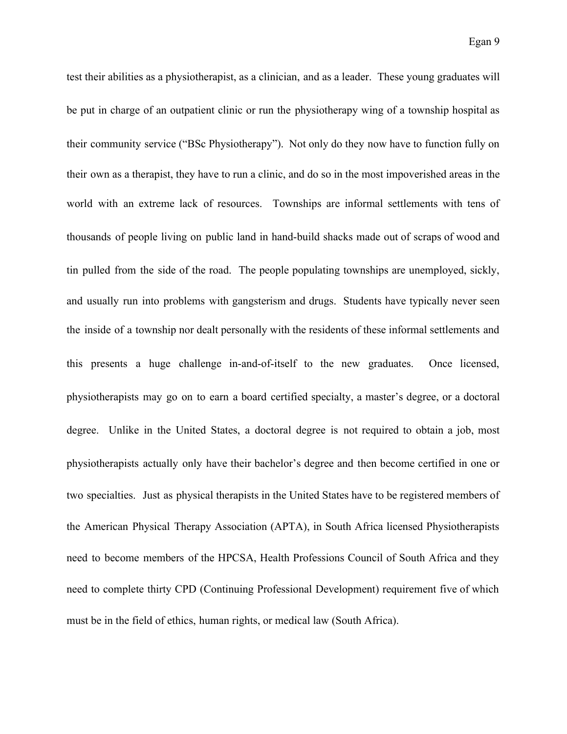test their abilities as a physiotherapist, as a clinician, and as a leader. These young graduates will be put in charge of an outpatient clinic or run the physiotherapy wing of a township hospital as their community service ("BSc Physiotherapy"). Not only do they now have to function fully on their own as a therapist, they have to run a clinic, and do so in the most impoverished areas in the world with an extreme lack of resources. Townships are informal settlements with tens of thousands of people living on public land in hand-build shacks made out of scraps of wood and tin pulled from the side of the road. The people populating townships are unemployed, sickly, and usually run into problems with gangsterism and drugs. Students have typically never seen the inside of a township nor dealt personally with the residents of these informal settlements and this presents a huge challenge in-and-of-itself to the new graduates. Once licensed, physiotherapists may go on to earn a board certified specialty, a master's degree, or a doctoral degree. Unlike in the United States, a doctoral degree is not required to obtain a job, most physiotherapists actually only have their bachelor's degree and then become certified in one or two specialties. Just as physical therapists in the United States have to be registered members of the American Physical Therapy Association (APTA), in South Africa licensed Physiotherapists need to become members of the HPCSA, Health Professions Council of South Africa and they need to complete thirty CPD (Continuing Professional Development) requirement five of which must be in the field of ethics, human rights, or medical law (South Africa).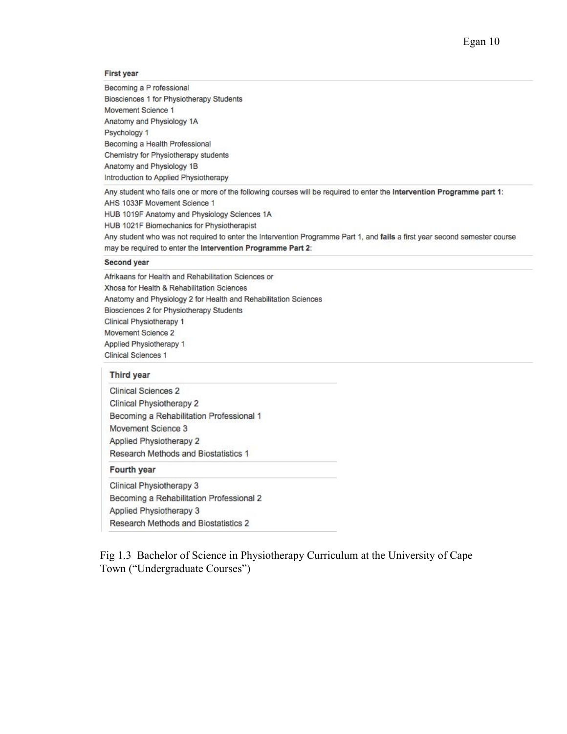### **First year**

Becoming a P rofessional Biosciences 1 for Physiotherapy Students Movement Science 1 Anatomy and Physiology 1A Psychology 1 Becoming a Health Professional Chemistry for Physiotherapy students Anatomy and Physiology 1B Introduction to Applied Physiotherapy

Any student who fails one or more of the following courses will be required to enter the Intervention Programme part 1: AHS 1033F Movement Science 1 HUB 1019F Anatomy and Physiology Sciences 1A HUB 1021F Biomechanics for Physiotherapist Any student who was not required to enter the Intervention Programme Part 1, and fails a first year second semester course may be required to enter the Intervention Programme Part 2:

#### **Second year**

Afrikaans for Health and Rehabilitation Sciences or Xhosa for Health & Rehabilitation Sciences Anatomy and Physiology 2 for Health and Rehabilitation Sciences Biosciences 2 for Physiotherapy Students Clinical Physiotherapy 1 Movement Science 2 Applied Physiotherapy 1 Clinical Sciences 1

#### Third year

**Clinical Sciences 2** Clinical Physiotherapy 2 Becoming a Rehabilitation Professional 1 Movement Science 3 **Applied Physiotherapy 2** Research Methods and Biostatistics 1

#### Fourth year

Clinical Physiotherapy 3 Becoming a Rehabilitation Professional 2 Applied Physiotherapy 3 Research Methods and Biostatistics 2

Fig 1.3 Bachelor of Science in Physiotherapy Curriculum at the University of Cape Town ("Undergraduate Courses")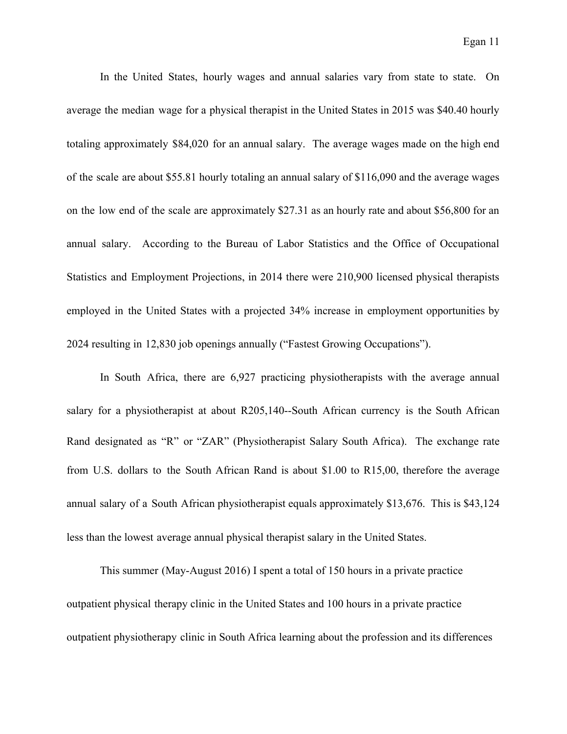In the United States, hourly wages and annual salaries vary from state to state. On average the median wage for a physical therapist in the United States in 2015 was \$40.40 hourly totaling approximately \$84,020 for an annual salary. The average wages made on the high end of the scale are about \$55.81 hourly totaling an annual salary of \$116,090 and the average wages on the low end of the scale are approximately \$27.31 as an hourly rate and about \$56,800 for an annual salary. According to the Bureau of Labor Statistics and the Office of Occupational Statistics and Employment Projections, in 2014 there were 210,900 licensed physical therapists employed in the United States with a projected 34% increase in employment opportunities by 2024 resulting in 12,830 job openings annually ("Fastest Growing Occupations").

In South Africa, there are 6,927 practicing physiotherapists with the average annual salary for a physiotherapist at about R205,140--South African currency is the South African Rand designated as "R" or "ZAR" (Physiotherapist Salary South Africa). The exchange rate from U.S. dollars to the South African Rand is about \$1.00 to R15,00, therefore the average annual salary of a South African physiotherapist equals approximately \$13,676. This is \$43,124 less than the lowest average annual physical therapist salary in the United States.

This summer (May-August 2016) I spent a total of 150 hours in a private practice outpatient physical therapy clinic in the United States and 100 hours in a private practice outpatient physiotherapy clinic in South Africa learning about the profession and its differences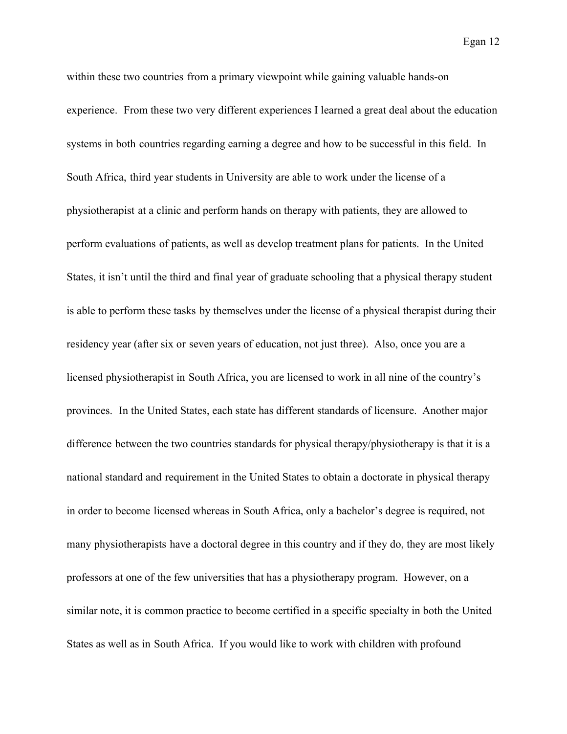Egan 12

within these two countries from a primary viewpoint while gaining valuable hands-on experience. From these two very different experiences I learned a great deal about the education systems in both countries regarding earning a degree and how to be successful in this field. In South Africa, third year students in University are able to work under the license of a physiotherapist at a clinic and perform hands on therapy with patients, they are allowed to perform evaluations of patients, as well as develop treatment plans for patients. In the United States, it isn't until the third and final year of graduate schooling that a physical therapy student is able to perform these tasks by themselves under the license of a physical therapist during their residency year (after six or seven years of education, not just three). Also, once you are a licensed physiotherapist in South Africa, you are licensed to work in all nine of the country's provinces. In the United States, each state has different standards of licensure. Another major difference between the two countries standards for physical therapy/physiotherapy is that it is a national standard and requirement in the United States to obtain a doctorate in physical therapy in order to become licensed whereas in South Africa, only a bachelor's degree is required, not many physiotherapists have a doctoral degree in this country and if they do, they are most likely professors at one of the few universities that has a physiotherapy program. However, on a similar note, it is common practice to become certified in a specific specialty in both the United States as well as in South Africa. If you would like to work with children with profound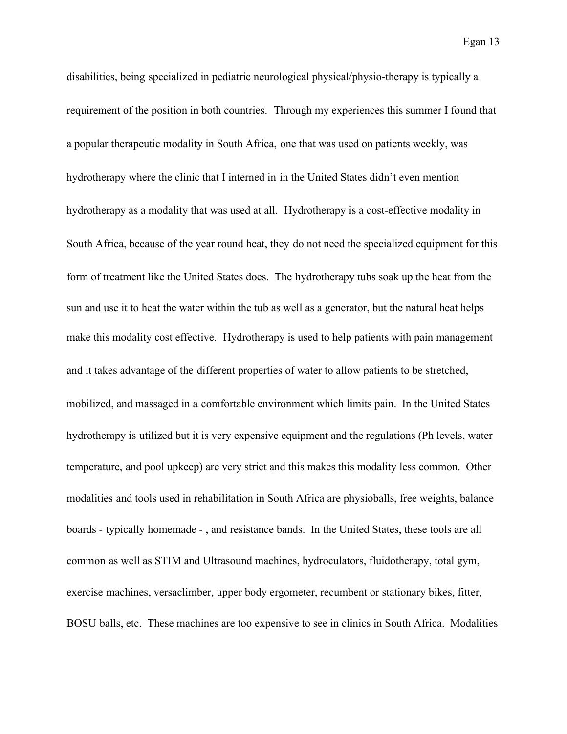Egan 13

disabilities, being specialized in pediatric neurological physical/physio-therapy is typically a requirement of the position in both countries. Through my experiences this summer I found that a popular therapeutic modality in South Africa, one that was used on patients weekly, was hydrotherapy where the clinic that I interned in in the United States didn't even mention hydrotherapy as a modality that was used at all. Hydrotherapy is a cost-effective modality in South Africa, because of the year round heat, they do not need the specialized equipment for this form of treatment like the United States does. The hydrotherapy tubs soak up the heat from the sun and use it to heat the water within the tub as well as a generator, but the natural heat helps make this modality cost effective. Hydrotherapy is used to help patients with pain management and it takes advantage of the different properties of water to allow patients to be stretched, mobilized, and massaged in a comfortable environment which limits pain. In the United States hydrotherapy is utilized but it is very expensive equipment and the regulations (Ph levels, water temperature, and pool upkeep) are very strict and this makes this modality less common. Other modalities and tools used in rehabilitation in South Africa are physioballs, free weights, balance boards - typically homemade - , and resistance bands. In the United States, these tools are all common as well as STIM and Ultrasound machines, hydroculators, fluidotherapy, total gym, exercise machines, versaclimber, upper body ergometer, recumbent or stationary bikes, fitter, BOSU balls, etc. These machines are too expensive to see in clinics in South Africa. Modalities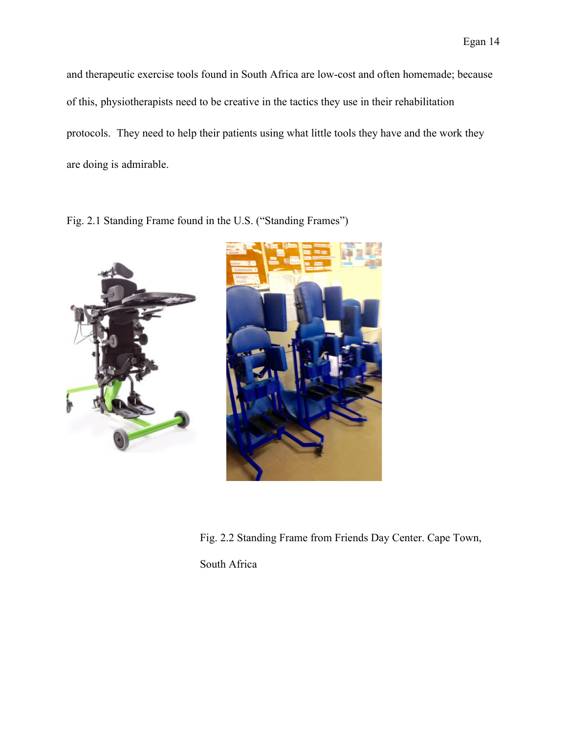and therapeutic exercise tools found in South Africa are low-cost and often homemade; because of this, physiotherapists need to be creative in the tactics they use in their rehabilitation protocols. They need to help their patients using what little tools they have and the work they are doing is admirable.

Fig. 2.1 Standing Frame found in the U.S. ("Standing Frames")





Fig. 2.2 Standing Frame from Friends Day Center. Cape Town,

South Africa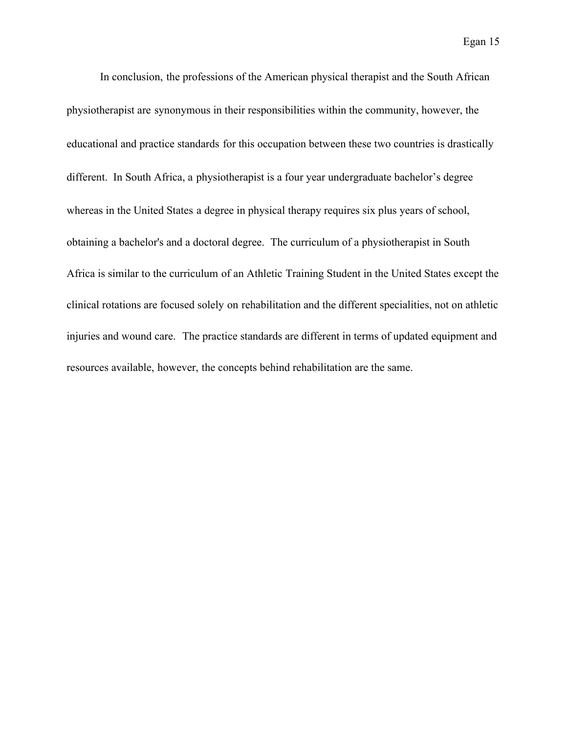In conclusion, the professions of the American physical therapist and the South African physiotherapist are synonymous in their responsibilities within the community, however, the educational and practice standards for this occupation between these two countries is drastically different. In South Africa, a physiotherapist is a four year undergraduate bachelor's degree whereas in the United States a degree in physical therapy requires six plus years of school, obtaining a bachelor's and a doctoral degree. The curriculum of a physiotherapist in South Africa is similar to the curriculum of an Athletic Training Student in the United States except the clinical rotations are focused solely on rehabilitation and the different specialities, not on athletic injuries and wound care. The practice standards are different in terms of updated equipment and resources available, however, the concepts behind rehabilitation are the same.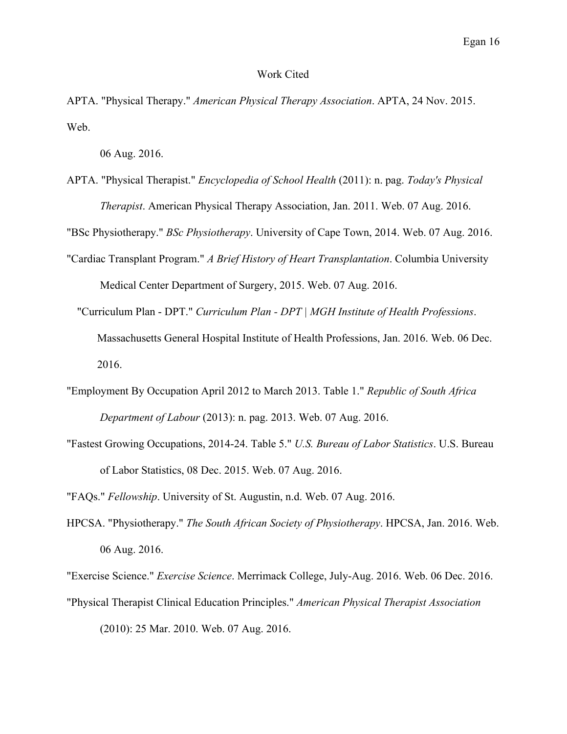## Work Cited

APTA. "Physical Therapy." *American Physical Therapy Association*. APTA, 24 Nov. 2015. Web.

06 Aug. 2016.

APTA. "Physical Therapist." *Encyclopedia of School Health* (2011): n. pag. *Today's Physical Therapist*. American Physical Therapy Association, Jan. 2011. Web. 07 Aug. 2016.

"BSc Physiotherapy." *BSc Physiotherapy*. University of Cape Town, 2014. Web. 07 Aug. 2016.

- "Cardiac Transplant Program." *A Brief History of Heart Transplantation*. Columbia University Medical Center Department of Surgery, 2015. Web. 07 Aug. 2016.
	- "Curriculum Plan DPT." *Curriculum Plan DPT | MGH Institute of Health Professions*. Massachusetts General Hospital Institute of Health Professions, Jan. 2016. Web. 06 Dec. 2016.
- "Employment By Occupation April 2012 to March 2013. Table 1." *Republic of South Africa Department of Labour* (2013): n. pag. 2013. Web. 07 Aug. 2016.
- "Fastest Growing Occupations, 2014-24. Table 5." *U.S. Bureau of Labor Statistics*. U.S. Bureau of Labor Statistics, 08 Dec. 2015. Web. 07 Aug. 2016.

"FAQs." *Fellowship*. University of St. Augustin, n.d. Web. 07 Aug. 2016.

HPCSA. "Physiotherapy." *The South African Society of Physiotherapy*. HPCSA, Jan. 2016. Web. 06 Aug. 2016.

"Exercise Science." *Exercise Science*. Merrimack College, July-Aug. 2016. Web. 06 Dec. 2016.

"Physical Therapist Clinical Education Principles." *American Physical Therapist Association* (2010): 25 Mar. 2010. Web. 07 Aug. 2016.